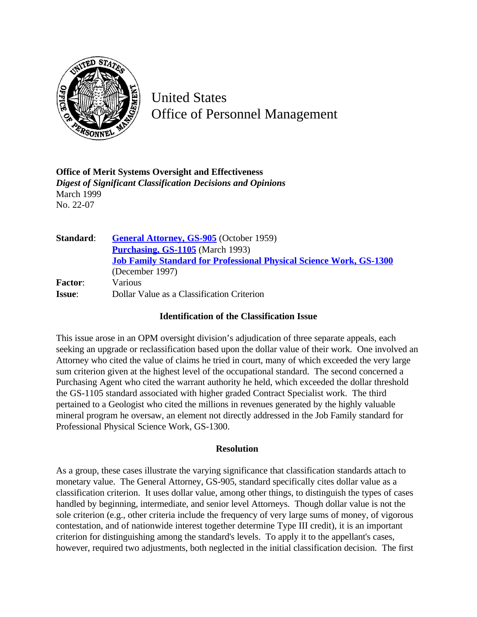

United States Office of Personnel Management

**Office of Merit Systems Oversight and Effectiveness** *Digest of Significant Classification Decisions and Opinions* March 1999 No. 22-07

| Standard:      | <b>General Attorney, GS-905</b> (October 1959)                             |
|----------------|----------------------------------------------------------------------------|
|                | <b>Purchasing, GS-1105</b> (March 1993)                                    |
|                | <b>Job Family Standard for Professional Physical Science Work, GS-1300</b> |
|                | (December 1997)                                                            |
| <b>Factor:</b> | Various                                                                    |
| <b>Issue:</b>  | Dollar Value as a Classification Criterion                                 |

## **Identification of the Classification Issue**

This issue arose in an OPM oversight division's adjudication of three separate appeals, each seeking an upgrade or reclassification based upon the dollar value of their work. One involved an Attorney who cited the value of claims he tried in court, many of which exceeded the very large sum criterion given at the highest level of the occupational standard. The second concerned a Purchasing Agent who cited the warrant authority he held, which exceeded the dollar threshold the GS-1105 standard associated with higher graded Contract Specialist work. The third pertained to a Geologist who cited the millions in revenues generated by the highly valuable mineral program he oversaw, an element not directly addressed in the Job Family standard for Professional Physical Science Work, GS-1300.

## **Resolution**

As a group, these cases illustrate the varying significance that classification standards attach to monetary value. The General Attorney, GS-905, standard specifically cites dollar value as a classification criterion. It uses dollar value, among other things, to distinguish the types of cases handled by beginning, intermediate, and senior level Attorneys. Though dollar value is not the sole criterion (e.g., other criteria include the frequency of very large sums of money, of vigorous contestation, and of nationwide interest together determine Type III credit), it is an important criterion for distinguishing among the standard's levels. To apply it to the appellant's cases, however, required two adjustments, both neglected in the initial classification decision. The first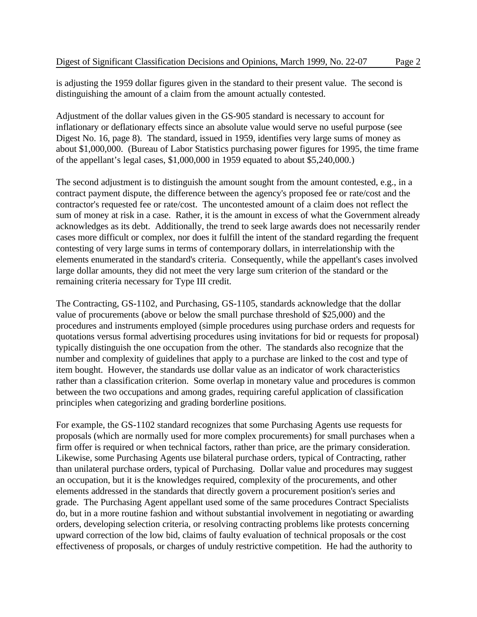is adjusting the 1959 dollar figures given in the standard to their present value. The second is distinguishing the amount of a claim from the amount actually contested.

Adjustment of the dollar values given in the GS-905 standard is necessary to account for inflationary or deflationary effects since an absolute value would serve no useful purpose (see Digest No. 16, page 8). The standard, issued in 1959, identifies very large sums of money as about \$1,000,000. (Bureau of Labor Statistics purchasing power figures for 1995, the time frame of the appellant's legal cases, \$1,000,000 in 1959 equated to about \$5,240,000.)

The second adjustment is to distinguish the amount sought from the amount contested, e.g., in a contract payment dispute, the difference between the agency's proposed fee or rate/cost and the contractor's requested fee or rate/cost. The uncontested amount of a claim does not reflect the sum of money at risk in a case. Rather, it is the amount in excess of what the Government already acknowledges as its debt. Additionally, the trend to seek large awards does not necessarily render cases more difficult or complex, nor does it fulfill the intent of the standard regarding the frequent contesting of very large sums in terms of contemporary dollars, in interrelationship with the elements enumerated in the standard's criteria. Consequently, while the appellant's cases involved large dollar amounts, they did not meet the very large sum criterion of the standard or the remaining criteria necessary for Type III credit.

The Contracting, GS-1102, and Purchasing, GS-1105, standards acknowledge that the dollar value of procurements (above or below the small purchase threshold of \$25,000) and the procedures and instruments employed (simple procedures using purchase orders and requests for quotations versus formal advertising procedures using invitations for bid or requests for proposal) typically distinguish the one occupation from the other. The standards also recognize that the number and complexity of guidelines that apply to a purchase are linked to the cost and type of item bought. However, the standards use dollar value as an indicator of work characteristics rather than a classification criterion. Some overlap in monetary value and procedures is common between the two occupations and among grades, requiring careful application of classification principles when categorizing and grading borderline positions.

For example, the GS-1102 standard recognizes that some Purchasing Agents use requests for proposals (which are normally used for more complex procurements) for small purchases when a firm offer is required or when technical factors, rather than price, are the primary consideration. Likewise, some Purchasing Agents use bilateral purchase orders, typical of Contracting, rather than unilateral purchase orders, typical of Purchasing. Dollar value and procedures may suggest an occupation, but it is the knowledges required, complexity of the procurements, and other elements addressed in the standards that directly govern a procurement position's series and grade. The Purchasing Agent appellant used some of the same procedures Contract Specialists do, but in a more routine fashion and without substantial involvement in negotiating or awarding orders, developing selection criteria, or resolving contracting problems like protests concerning upward correction of the low bid, claims of faulty evaluation of technical proposals or the cost effectiveness of proposals, or charges of unduly restrictive competition. He had the authority to